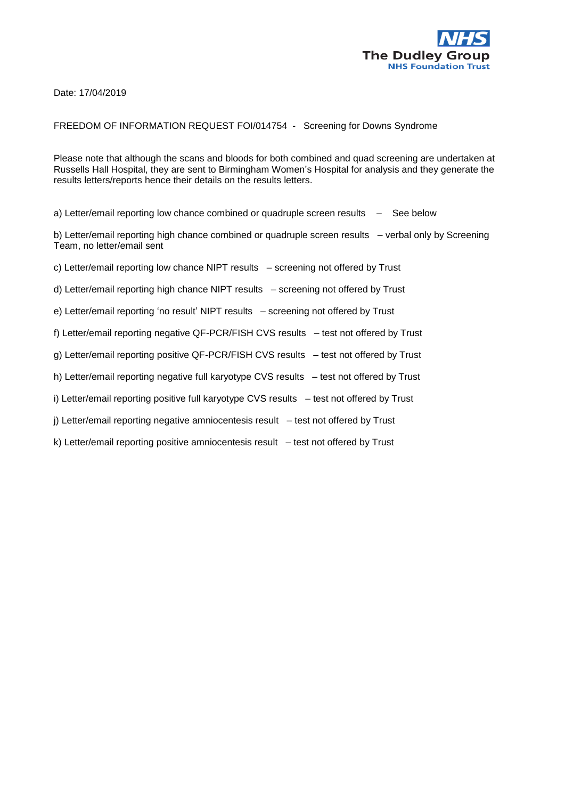

Date: 17/04/2019

## FREEDOM OF INFORMATION REQUEST FOI/014754 - Screening for Downs Syndrome

Please note that although the scans and bloods for both combined and quad screening are undertaken at Russells Hall Hospital, they are sent to Birmingham Women's Hospital for analysis and they generate the results letters/reports hence their details on the results letters.

a) Letter/email reporting low chance combined or quadruple screen results – See below

b) Letter/email reporting high chance combined or quadruple screen results – verbal only by Screening Team, no letter/email sent

c) Letter/email reporting low chance NIPT results – screening not offered by Trust

d) Letter/email reporting high chance NIPT results – screening not offered by Trust

e) Letter/email reporting 'no result' NIPT results – screening not offered by Trust

f) Letter/email reporting negative QF-PCR/FISH CVS results – test not offered by Trust

g) Letter/email reporting positive QF-PCR/FISH CVS results – test not offered by Trust

h) Letter/email reporting negative full karyotype CVS results – test not offered by Trust

i) Letter/email reporting positive full karyotype CVS results – test not offered by Trust

j) Letter/email reporting negative amniocentesis result – test not offered by Trust

k) Letter/email reporting positive amniocentesis result – test not offered by Trust